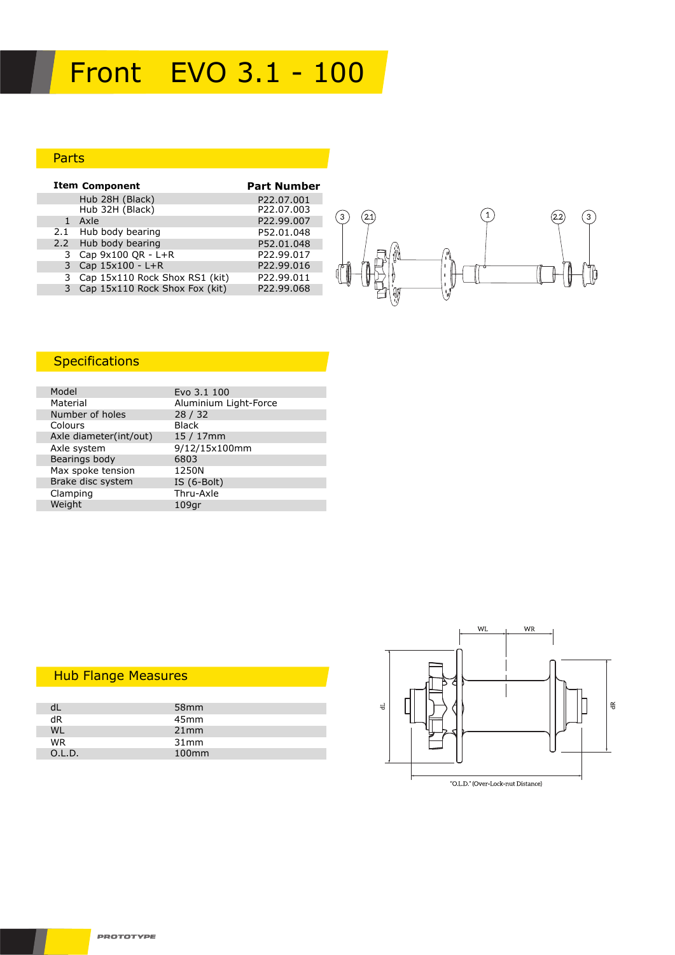# Front EVO 3.1 - 100

### Parts

|                 | <b>Part Number</b>                                                                                                                                                                                             |
|-----------------|----------------------------------------------------------------------------------------------------------------------------------------------------------------------------------------------------------------|
| Hub 28H (Black) | P22.07.001                                                                                                                                                                                                     |
|                 | P22.07.003                                                                                                                                                                                                     |
| Axle            | P22.99.007                                                                                                                                                                                                     |
|                 | P52.01.048                                                                                                                                                                                                     |
|                 | P52.01.048                                                                                                                                                                                                     |
|                 | P22.99.017                                                                                                                                                                                                     |
|                 | P22.99.016                                                                                                                                                                                                     |
|                 | P22.99.011                                                                                                                                                                                                     |
|                 | P22.99.068                                                                                                                                                                                                     |
|                 | <b>Item Component</b><br>Hub 32H (Black)<br>2.1 Hub body bearing<br>2.2 Hub body bearing<br>3 Cap 9x100 QR - L+R<br>3 Cap 15x100 - L+R<br>3 Cap 15x110 Rock Shox RS1 (kit)<br>3 Cap 15x110 Rock Shox Fox (kit) |



### **Specifications**

| Evo 3.1 100           |
|-----------------------|
| Aluminium Light-Force |
| 28/32                 |
| <b>Black</b>          |
| $15/17$ mm            |
| 9/12/15x100mm         |
| 6803                  |
| 1250N                 |
| IS $(6-Bolt)$         |
| Thru-Axle             |
| 109 <sub>qr</sub>     |
|                       |

|           | 58 <sub>mm</sub> |  |
|-----------|------------------|--|
| dR        | 45 <sub>mm</sub> |  |
| WI        | 21mm             |  |
| <b>WR</b> | 31mm             |  |
| O.L.D.    | 100mm            |  |

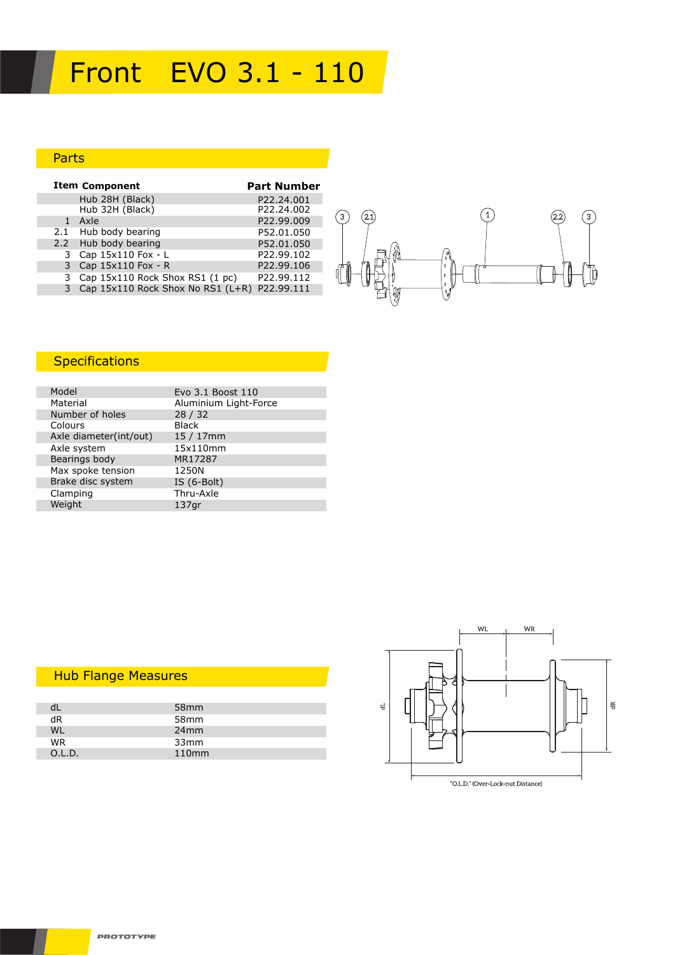# Front EVO 3.1 - 110

### Parts

| <b>Item Component</b>                          | <b>Part Number</b> |
|------------------------------------------------|--------------------|
| Hub 28H (Black)                                | P22.24.001         |
| Hub 32H (Black)                                | P22.24.002         |
| Axle                                           | P22.99.009         |
| 2.1 Hub body bearing                           | P52.01.050         |
| 2.2 Hub body bearing                           | P52.01.050         |
| 3 Cap 15x110 Fox - L                           | P22.99.102         |
| 3 Cap 15x110 Fox - R                           | P22.99.106         |
| 3 Cap 15x110 Rock Shox RS1 (1 pc)              | P22.99.112         |
| 3 Cap 15x110 Rock Shox No RS1 (L+R) P22.99.111 |                    |



### **Specifications**

| Model                  | Evo 3.1 Boost 110     |
|------------------------|-----------------------|
| Material               | Aluminium Light-Force |
| Number of holes        | 28/32                 |
| Colours                | <b>Black</b>          |
| Axle diameter(int/out) | $15/17$ mm            |
| Axle system            | 15x110mm              |
| Bearings body          | MR17287               |
| Max spoke tension      | 1250N                 |
| Brake disc system      | IS $(6-Bolt)$         |
| Clamping               | Thru-Axle             |
| Weight                 | 137gr                 |

|           | 58 <sub>mm</sub>  |  |
|-----------|-------------------|--|
| dR        | 58 <sub>mm</sub>  |  |
| WI        | 24mm              |  |
| <b>WR</b> | 33mm              |  |
| O.L.D.    | 110 <sub>mm</sub> |  |

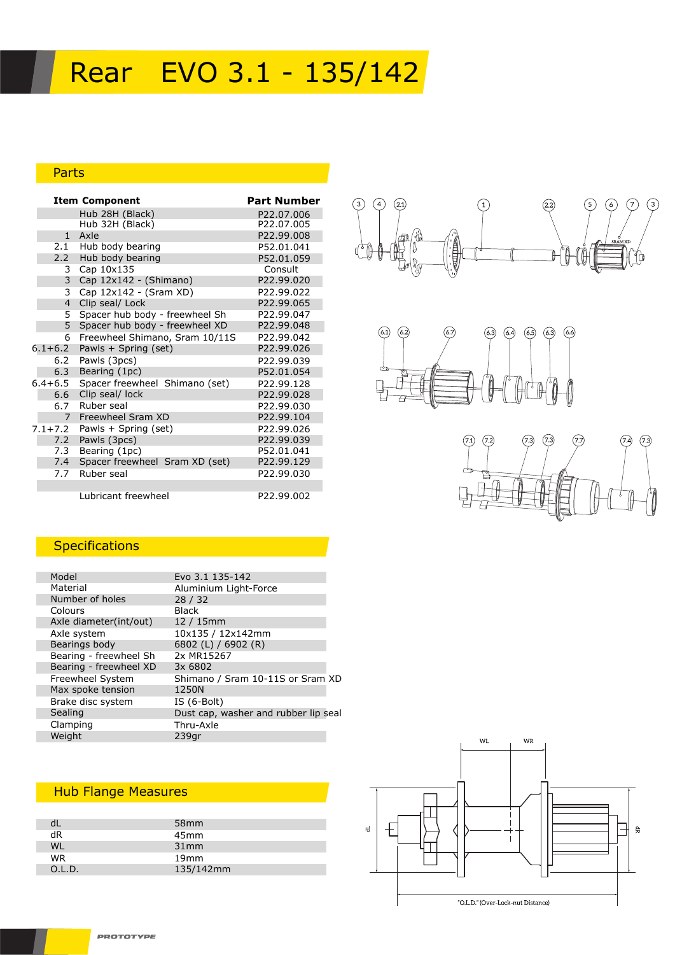# Rear EVO 3.1 - 135/142

### Parts

|                | <b>Item Component</b>          | <b>Part Number</b>     |
|----------------|--------------------------------|------------------------|
|                | Hub 28H (Black)                | P22.07.006             |
|                | Hub 32H (Black)                | P22.07.005             |
| 1              | Axle                           | P22.99.008             |
| 2.1            | Hub body bearing               | P52.01.041             |
| 2.2            | Hub body bearing               | P52.01.059             |
| 3              | Cap 10x135                     | Consult                |
| 3              | Cap 12x142 - (Shimano)         | P <sub>22.99.020</sub> |
| 3              | Cap 12x142 - (Sram XD)         | P22.99.022             |
| $\overline{4}$ | Clip seal/ Lock                | P22.99.065             |
| 5              | Spacer hub body - freewheel Sh | P22.99.047             |
| 5              | Spacer hub body - freewheel XD | P22.99.048             |
| 6              | Freewheel Shimano, Sram 10/11S | P22.99.042             |
| $6.1 + 6.2$    | Pawls + Spring (set)           | P <sub>22.99.026</sub> |
| 6.2            | Pawls (3pcs)                   | P22.99.039             |
| 6.3            | Bearing (1pc)                  | P52.01.054             |
| 6.4+6.5        | Spacer freewheel Shimano (set) | P22.99.128             |
| 6.6            | Clip seal/ lock                | P <sub>22.99.028</sub> |
| 6.7            | Ruber seal                     | P <sub>22.99.030</sub> |
| 7              | Freewheel Sram XD              | P <sub>22.99.104</sub> |
| 7.1+7.2        | Pawls + Spring (set)           | P22.99.026             |
| 7.2            | Pawls (3pcs)                   | P22.99.039             |
| 7.3            | Bearing (1pc)                  | P52.01.041             |
| 7.4            | Spacer freewheel Sram XD (set) | P22.99.129             |
| 7.7            | Ruber seal                     | P <sub>22.99.030</sub> |
|                |                                |                        |
|                | Lubricant freewheel            | P <sub>22.99.002</sub> |







### **Specifications**

| Model                  | Evo 3.1 135-142                      |
|------------------------|--------------------------------------|
| Material               | Aluminium Light-Force                |
| Number of holes        | 28/32                                |
| Colours                | <b>Black</b>                         |
| Axle diameter(int/out) | $12/15$ mm                           |
| Axle system            | 10x135 / 12x142mm                    |
| Bearings body          | 6802 (L) / 6902 (R)                  |
| Bearing - freewheel Sh | 2x MR15267                           |
| Bearing - freewheel XD | 3x 6802                              |
| Freewheel System       | Shimano / Sram 10-11S or Sram XD     |
| Max spoke tension      | 1250N                                |
| Brake disc system      | IS $(6-Bolt)$                        |
| Sealing                | Dust cap, washer and rubber lip seal |
| Clamping               | Thru-Axle                            |
| Weight                 | 239ar                                |
|                        |                                      |

|        | 58 <sub>mm</sub> |  |
|--------|------------------|--|
| dR     | 45 <sub>mm</sub> |  |
| W۱     | 31mm             |  |
| WR.    | 19mm             |  |
| O.L.D. | 135/142mm        |  |